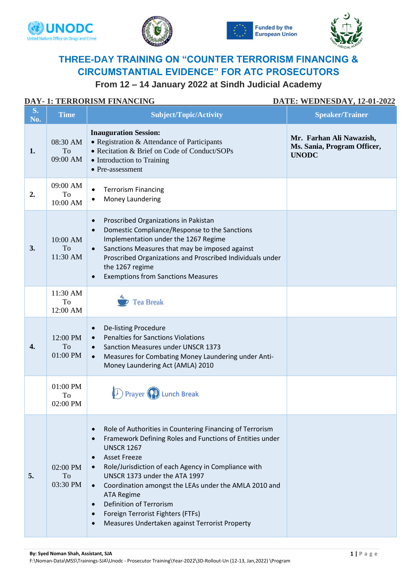







# **THREE-DAY TRAINING ON "COUNTER TERRORISM FINANCING & CIRCUMSTANTIAL EVIDENCE" FOR ATC PROSECUTORS**

## **From 12 – 14 January 2022 at Sindh Judicial Academy**

|                      | <b>DAY-1: TERRORISM FINANCING</b><br>DATE: WEDNESDAY, 12-01-2022 |                                                                                                                                                                                                                                                                                                                                                                                                                                                                                                                     |                                                                         |  |  |  |
|----------------------|------------------------------------------------------------------|---------------------------------------------------------------------------------------------------------------------------------------------------------------------------------------------------------------------------------------------------------------------------------------------------------------------------------------------------------------------------------------------------------------------------------------------------------------------------------------------------------------------|-------------------------------------------------------------------------|--|--|--|
| $S_{\bullet}$<br>No. | <b>Time</b>                                                      | <b>Subject/Topic/Activity</b>                                                                                                                                                                                                                                                                                                                                                                                                                                                                                       | <b>Speaker/Trainer</b>                                                  |  |  |  |
| 1.                   | 08:30 AM<br>To<br>09:00 AM                                       | <b>Inauguration Session:</b><br>• Registration & Attendance of Participants<br>• Recitation & Brief on Code of Conduct/SOPs<br>• Introduction to Training<br>• Pre-assessment                                                                                                                                                                                                                                                                                                                                       | Mr. Farhan Ali Nawazish,<br>Ms. Sania, Program Officer,<br><b>UNODC</b> |  |  |  |
| 2.                   | 09:00 AM<br>To<br>10:00 AM                                       | <b>Terrorism Financing</b><br>Money Laundering                                                                                                                                                                                                                                                                                                                                                                                                                                                                      |                                                                         |  |  |  |
| 3.                   | 10:00 AM<br>To<br>11:30 AM                                       | Proscribed Organizations in Pakistan<br>$\bullet$<br>Domestic Compliance/Response to the Sanctions<br>$\bullet$<br>Implementation under the 1267 Regime<br>Sanctions Measures that may be imposed against<br>$\bullet$<br>Proscribed Organizations and Proscribed Individuals under<br>the 1267 regime<br><b>Exemptions from Sanctions Measures</b>                                                                                                                                                                 |                                                                         |  |  |  |
|                      | 11:30 AM<br>To<br>12:00 AM                                       | <b>Tea Break</b>                                                                                                                                                                                                                                                                                                                                                                                                                                                                                                    |                                                                         |  |  |  |
| 4.                   | 12:00 PM<br>To<br>01:00 PM                                       | De-listing Procedure<br>$\bullet$<br>Penalties for Sanctions Violations<br><b>Sanction Measures under UNSCR 1373</b><br>Measures for Combating Money Laundering under Anti-<br>$\bullet$<br>Money Laundering Act (AMLA) 2010                                                                                                                                                                                                                                                                                        |                                                                         |  |  |  |
|                      | 01:00 PM<br>To<br>02:00 PM                                       | <b>Prayer (OP) Lunch Break</b>                                                                                                                                                                                                                                                                                                                                                                                                                                                                                      |                                                                         |  |  |  |
| 5.                   | 02:00 PM<br>To<br>03:30 PM                                       | Role of Authorities in Countering Financing of Terrorism<br>Framework Defining Roles and Functions of Entities under<br>$\bullet$<br><b>UNSCR 1267</b><br><b>Asset Freeze</b><br>$\bullet$<br>Role/Jurisdiction of each Agency in Compliance with<br>UNSCR 1373 under the ATA 1997<br>Coordination amongst the LEAs under the AMLA 2010 and<br>$\bullet$<br><b>ATA Regime</b><br><b>Definition of Terrorism</b><br>$\bullet$<br>Foreign Terrorist Fighters (FTFs)<br>Measures Undertaken against Terrorist Property |                                                                         |  |  |  |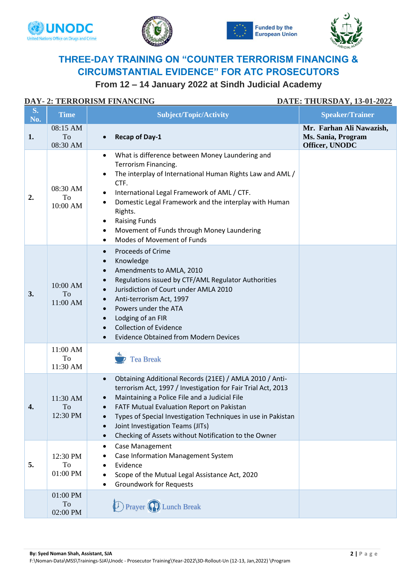







# **THREE-DAY TRAINING ON "COUNTER TERRORISM FINANCING & CIRCUMSTANTIAL EVIDENCE" FOR ATC PROSECUTORS**

## **From 12 – 14 January 2022 at Sindh Judicial Academy**

### **DAY- 2: TERRORISM FINANCING DATE: THURSDAY, 13-01-2022**

| <b>S.</b><br>No. | <b>Time</b>                | <b>Subject/Topic/Activity</b>                                                                                                                                                                                                                                                                                                                                                                                            | <b>Speaker/Trainer</b>                                           |
|------------------|----------------------------|--------------------------------------------------------------------------------------------------------------------------------------------------------------------------------------------------------------------------------------------------------------------------------------------------------------------------------------------------------------------------------------------------------------------------|------------------------------------------------------------------|
| 1.               | 08:15 AM<br>To<br>08:30 AM | <b>Recap of Day-1</b>                                                                                                                                                                                                                                                                                                                                                                                                    | Mr. Farhan Ali Nawazish,<br>Ms. Sania, Program<br>Officer, UNODC |
| 2.               | 08:30 AM<br>To<br>10:00 AM | What is difference between Money Laundering and<br>Terrorism Financing.<br>The interplay of International Human Rights Law and AML /<br>CTF.<br>International Legal Framework of AML / CTF.<br>Domestic Legal Framework and the interplay with Human<br>Rights.<br><b>Raising Funds</b><br>Movement of Funds through Money Laundering<br>٠<br>Modes of Movement of Funds<br>$\bullet$                                    |                                                                  |
| 3.               | 10:00 AM<br>To<br>11:00 AM | <b>Proceeds of Crime</b><br>$\bullet$<br>Knowledge<br>$\bullet$<br>Amendments to AMLA, 2010<br>$\bullet$<br>Regulations issued by CTF/AML Regulator Authorities<br>$\bullet$<br>Jurisdiction of Court under AMLA 2010<br>Anti-terrorism Act, 1997<br>Powers under the ATA<br>Lodging of an FIR<br>$\bullet$<br><b>Collection of Evidence</b><br><b>Evidence Obtained from Modern Devices</b><br>$\bullet$                |                                                                  |
|                  | 11:00 AM<br>To<br>11:30 AM | <b>Tea Break</b>                                                                                                                                                                                                                                                                                                                                                                                                         |                                                                  |
| 4.               | 11:30 AM<br>To<br>12:30 PM | Obtaining Additional Records (21EE) / AMLA 2010 / Anti-<br>$\bullet$<br>terrorism Act, 1997 / Investigation for Fair Trial Act, 2013<br>Maintaining a Police File and a Judicial File<br>FATF Mutual Evaluation Report on Pakistan<br>$\bullet$<br>Types of Special Investigation Techniques in use in Pakistan<br>Joint Investigation Teams (JITs)<br>Checking of Assets without Notification to the Owner<br>$\bullet$ |                                                                  |
| 5.               | 12:30 PM<br>To<br>01:00 PM | Case Management<br>Case Information Management System<br>Evidence<br>Scope of the Mutual Legal Assistance Act, 2020<br><b>Groundwork for Requests</b>                                                                                                                                                                                                                                                                    |                                                                  |
|                  | 01:00 PM<br>To<br>02:00 PM | <b>D</b> Prayer (P) Lunch Break                                                                                                                                                                                                                                                                                                                                                                                          |                                                                  |